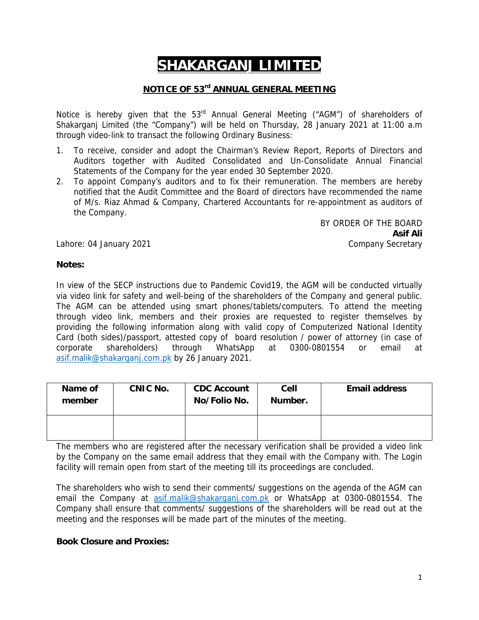# **SHAKARGANJ LIMITED**

# **NOTICE OF 53rd ANNUAL GENERAL MEETING**

Notice is hereby given that the 53<sup>rd</sup> Annual General Meeting ("AGM") of shareholders of Shakarganj Limited (the "Company") will be held on Thursday, 28 January 2021 at 11:00 a.m through video-link to transact the following Ordinary Business:

- 1. To receive, consider and adopt the Chairman's Review Report, Reports of Directors and Auditors together with Audited Consolidated and Un-Consolidate Annual Financial Statements of the Company for the year ended 30 September 2020.
- 2. To appoint Company's auditors and to fix their remuneration. The members are hereby notified that the Audit Committee and the Board of directors have recommended the name of M/s. Riaz Ahmad & Company, Chartered Accountants for re-appointment as auditors of the Company.

BY ORDER OF THE BOARD **Asif Ali** Company Secretary

Lahore: 04 January 2021

### **Notes:**

In view of the SECP instructions due to Pandemic Covid19, the AGM will be conducted virtually via video link for safety and well-being of the shareholders of the Company and general public. The AGM can be attended using smart phones/tablets/computers. To attend the meeting through video link, members and their proxies are requested to register themselves by providing the following information along with valid copy of Computerized National Identity Card (both sides)/passport, attested copy of board resolution / power of attorney (in case of corporate shareholders) through WhatsApp at 0300-0801554 or email at asif.malik@shakarganj.com.pk by 26 January 2021.

| Name of<br>member | CNIC No. | <b>CDC Account</b><br>No/Folio No. | Cell<br>Number. | <b>Email address</b> |
|-------------------|----------|------------------------------------|-----------------|----------------------|
|                   |          |                                    |                 |                      |

The members who are registered after the necessary verification shall be provided a video link by the Company on the same email address that they email with the Company with. The Login facility will remain open from start of the meeting till its proceedings are concluded.

The shareholders who wish to send their comments/ suggestions on the agenda of the AGM can email the Company at asif.malik@shakarganj.com.pk or WhatsApp at 0300-0801554. The Company shall ensure that comments/ suggestions of the shareholders will be read out at the meeting and the responses will be made part of the minutes of the meeting.

### **Book Closure and Proxies:**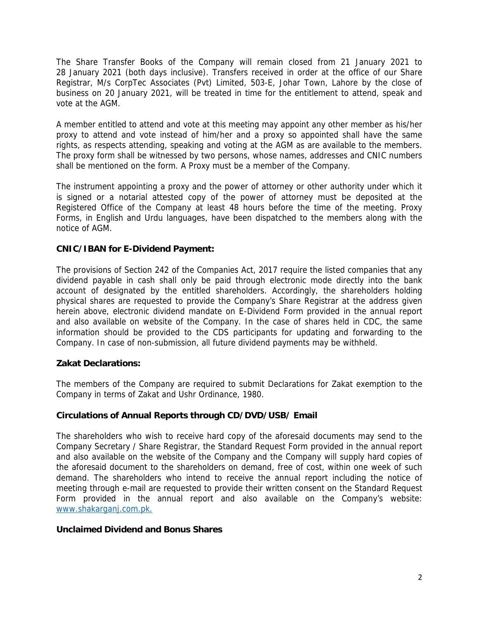The Share Transfer Books of the Company will remain closed from 21 January 2021 to 28 January 2021 (both days inclusive). Transfers received in order at the office of our Share Registrar, M/s CorpTec Associates (Pvt) Limited, 503-E, Johar Town, Lahore by the close of business on 20 January 2021, will be treated in time for the entitlement to attend, speak and vote at the AGM.

A member entitled to attend and vote at this meeting may appoint any other member as his/her proxy to attend and vote instead of him/her and a proxy so appointed shall have the same rights, as respects attending, speaking and voting at the AGM as are available to the members. The proxy form shall be witnessed by two persons, whose names, addresses and CNIC numbers shall be mentioned on the form. A Proxy must be a member of the Company.

The instrument appointing a proxy and the power of attorney or other authority under which it is signed or a notarial attested copy of the power of attorney must be deposited at the Registered Office of the Company at least 48 hours before the time of the meeting. Proxy Forms, in English and Urdu languages, have been dispatched to the members along with the notice of AGM.

### **CNIC/IBAN for E-Dividend Payment:**

The provisions of Section 242 of the Companies Act, 2017 require the listed companies that any dividend payable in cash shall only be paid through electronic mode directly into the bank account of designated by the entitled shareholders. Accordingly, the shareholders holding physical shares are requested to provide the Company's Share Registrar at the address given herein above, electronic dividend mandate on E-Dividend Form provided in the annual report and also available on website of the Company. In the case of shares held in CDC, the same information should be provided to the CDS participants for updating and forwarding to the Company. In case of non-submission, all future dividend payments may be withheld.

### **Zakat Declarations:**

The members of the Company are required to submit Declarations for Zakat exemption to the Company in terms of Zakat and Ushr Ordinance, 1980.

### **Circulations of Annual Reports through CD/DVD/USB/ Email**

The shareholders who wish to receive hard copy of the aforesaid documents may send to the Company Secretary / Share Registrar, the Standard Request Form provided in the annual report and also available on the website of the Company and the Company will supply hard copies of the aforesaid document to the shareholders on demand, free of cost, within one week of such demand. The shareholders who intend to receive the annual report including the notice of meeting through e-mail are requested to provide their written consent on the Standard Request Form provided in the annual report and also available on the Company's website: www.shakarganj.com.pk.

### **Unclaimed Dividend and Bonus Shares**